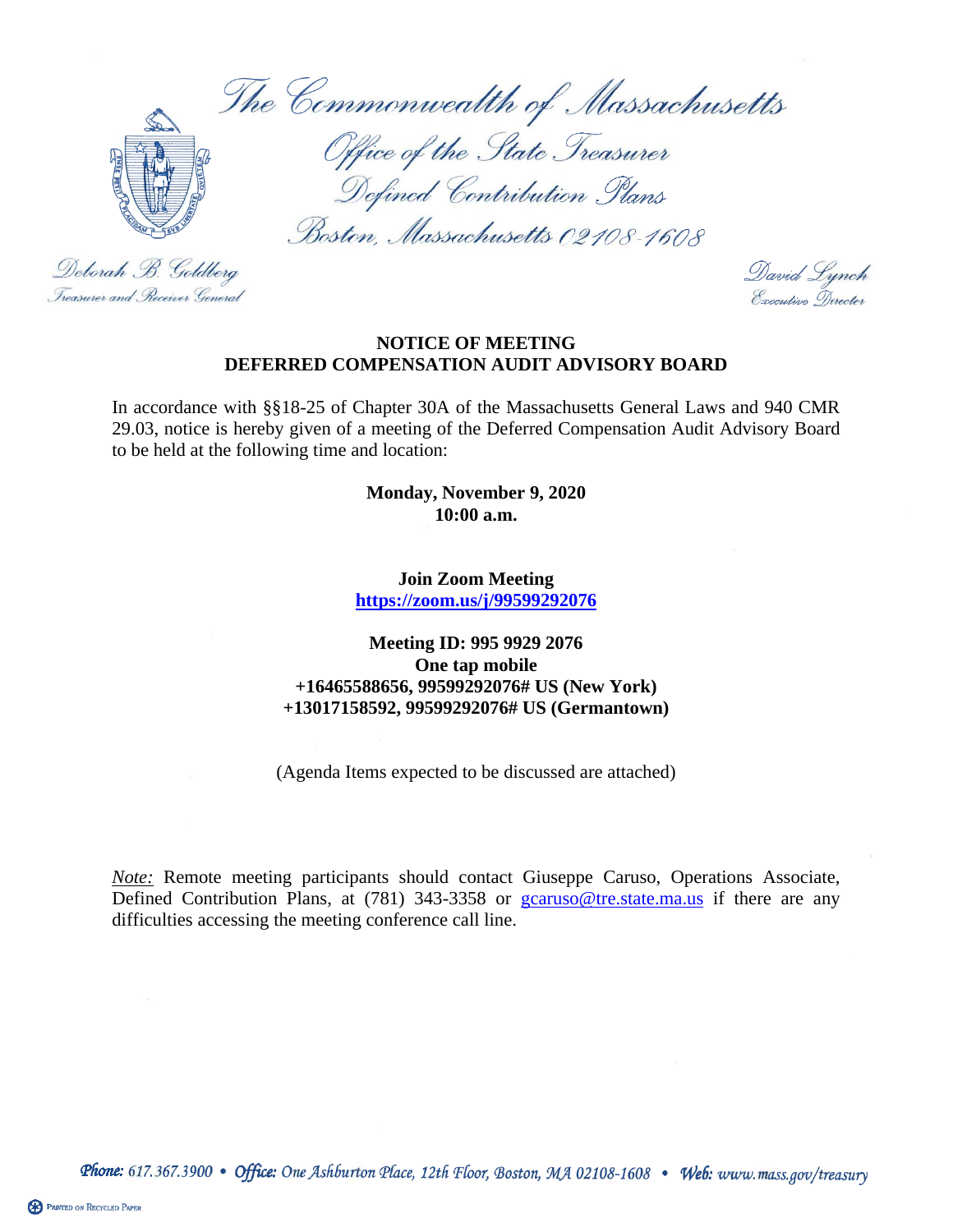The Commonwealth of Massachusetts



Deborah B. Goldberg

Treasurer and . Receiver General

Office of the State Treasurer Defined Contribution Plans

Boston, Massachusetts 02108-1608

David Lynch Execution Director

#### **NOTICE OF MEETING DEFERRED COMPENSATION AUDIT ADVISORY BOARD**

In accordance with §§18-25 of Chapter 30A of the Massachusetts General Laws and 940 CMR 29.03, notice is hereby given of a meeting of the Deferred Compensation Audit Advisory Board to be held at the following time and location:

> **Monday, November 9, 2020 10:00 a.m.**

**Join Zoom Meeting <https://zoom.us/j/99599292076>**

#### **Meeting ID: 995 9929 2076 One tap mobile +16465588656, 99599292076# US (New York) +13017158592, 99599292076# US (Germantown)**

(Agenda Items expected to be discussed are attached)

**Note:** Remote meeting participants should contact Giuseppe Caruso, Operations Associate, Defined Contribution Plans, at (781) 343-3358 or [gcaruso@tre.state.ma.us](mailto:gcaruso@tre.state.ma.us) if there are any difficulties accessing the meeting conference call line.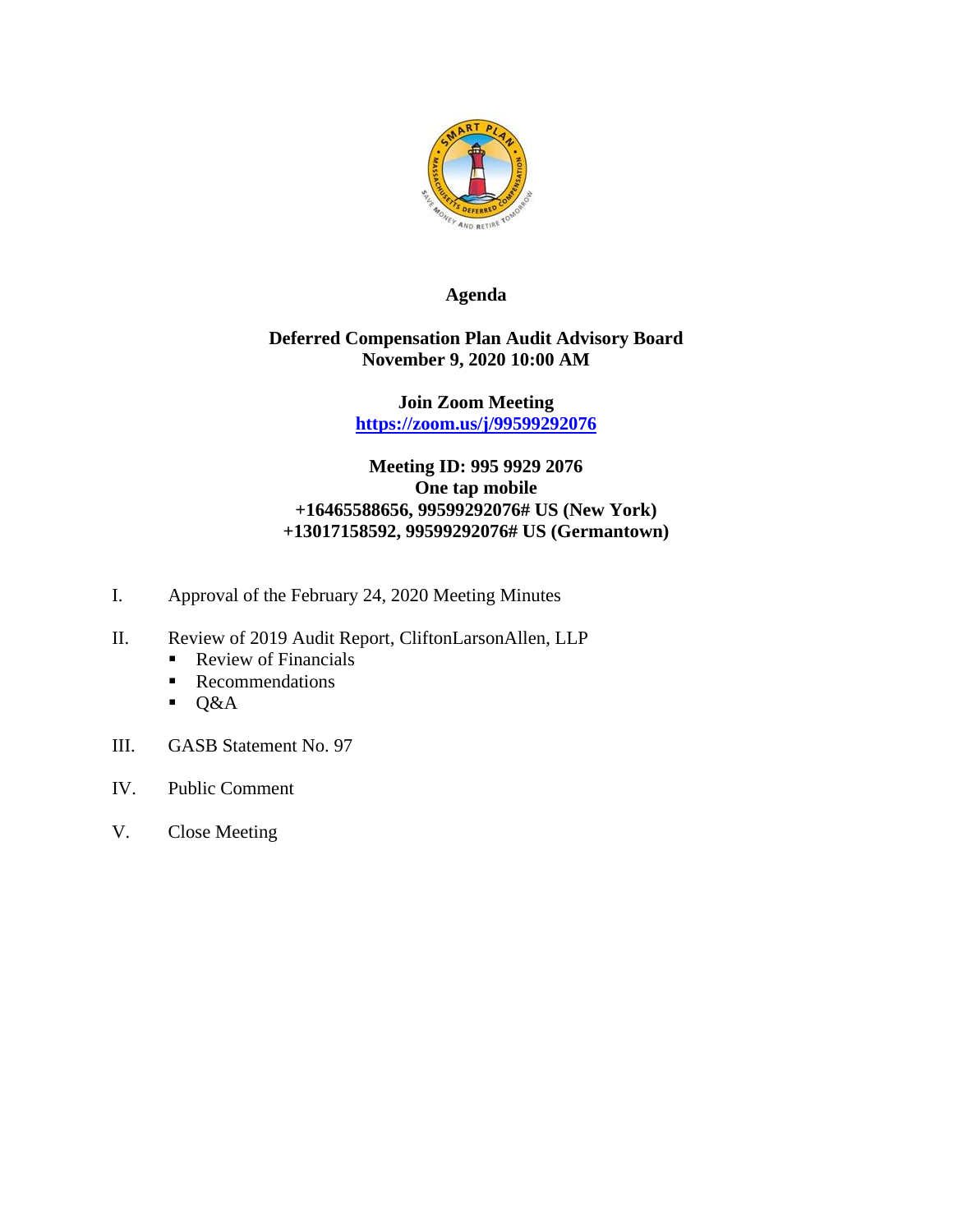

# **Agenda**

## **Deferred Compensation Plan Audit Advisory Board November 9, 2020 10:00 AM**

**Join Zoom Meeting <https://zoom.us/j/99599292076>**

# **Meeting ID: 995 9929 2076 One tap mobile +16465588656, 99599292076# US (New York) +13017158592, 99599292076# US (Germantown)**

- I. Approval of the February 24, 2020 Meeting Minutes
- II. Review of 2019 Audit Report, CliftonLarsonAllen, LLP
	- Review of Financials
	- Recommendations
	- $\bullet$  Q&A
- III. GASB Statement No. 97
- IV. Public Comment
- V. Close Meeting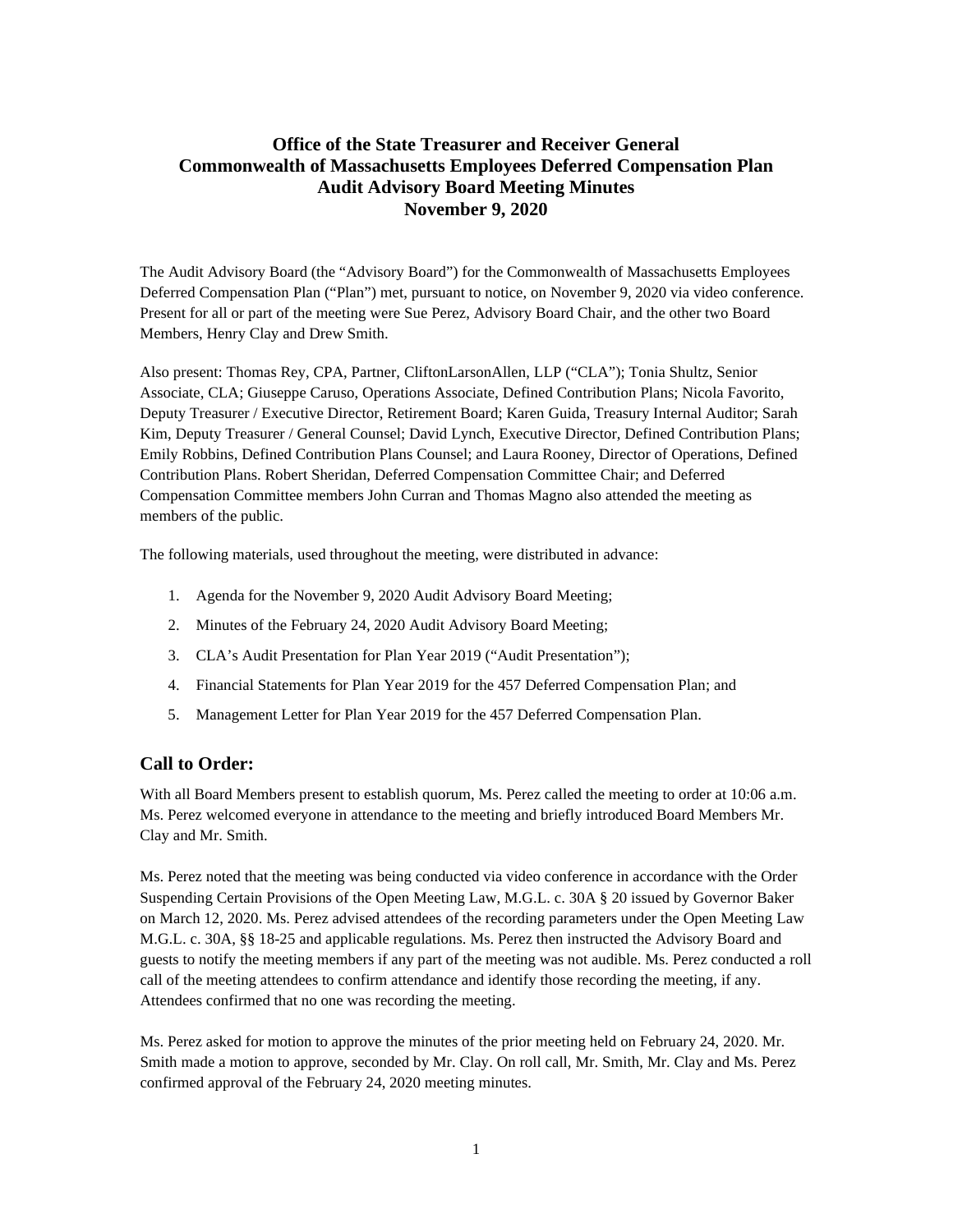### **Office of the State Treasurer and Receiver General Commonwealth of Massachusetts Employees Deferred Compensation Plan Audit Advisory Board Meeting Minutes November 9, 2020**

The Audit Advisory Board (the "Advisory Board") for the Commonwealth of Massachusetts Employees Deferred Compensation Plan ("Plan") met, pursuant to notice, on November 9, 2020 via video conference. Present for all or part of the meeting were Sue Perez, Advisory Board Chair, and the other two Board Members, Henry Clay and Drew Smith.

Also present: Thomas Rey, CPA, Partner, CliftonLarsonAllen, LLP ("CLA"); Tonia Shultz, Senior Associate, CLA; Giuseppe Caruso, Operations Associate, Defined Contribution Plans; Nicola Favorito, Deputy Treasurer / Executive Director, Retirement Board; Karen Guida, Treasury Internal Auditor; Sarah Kim, Deputy Treasurer / General Counsel; David Lynch, Executive Director, Defined Contribution Plans; Emily Robbins, Defined Contribution Plans Counsel; and Laura Rooney, Director of Operations, Defined Contribution Plans. Robert Sheridan, Deferred Compensation Committee Chair; and Deferred Compensation Committee members John Curran and Thomas Magno also attended the meeting as members of the public.

The following materials, used throughout the meeting, were distributed in advance:

- 1. Agenda for the November 9, 2020 Audit Advisory Board Meeting;
- 2. Minutes of the February 24, 2020 Audit Advisory Board Meeting;
- 3. CLA's Audit Presentation for Plan Year 2019 ("Audit Presentation");
- 4. Financial Statements for Plan Year 2019 for the 457 Deferred Compensation Plan; and
- 5. Management Letter for Plan Year 2019 for the 457 Deferred Compensation Plan.

#### **Call to Order:**

With all Board Members present to establish quorum, Ms. Perez called the meeting to order at 10:06 a.m. Ms. Perez welcomed everyone in attendance to the meeting and briefly introduced Board Members Mr. Clay and Mr. Smith.

Ms. Perez noted that the meeting was being conducted via video conference in accordance with the Order Suspending Certain Provisions of the Open Meeting Law, M.G.L. c. 30A § 20 issued by Governor Baker on March 12, 2020. Ms. Perez advised attendees of the recording parameters under the Open Meeting Law M.G.L. c. 30A, §§ 18-25 and applicable regulations. Ms. Perez then instructed the Advisory Board and guests to notify the meeting members if any part of the meeting was not audible. Ms. Perez conducted a roll call of the meeting attendees to confirm attendance and identify those recording the meeting, if any. Attendees confirmed that no one was recording the meeting.

Ms. Perez asked for motion to approve the minutes of the prior meeting held on February 24, 2020. Mr. Smith made a motion to approve, seconded by Mr. Clay. On roll call, Mr. Smith, Mr. Clay and Ms. Perez confirmed approval of the February 24, 2020 meeting minutes.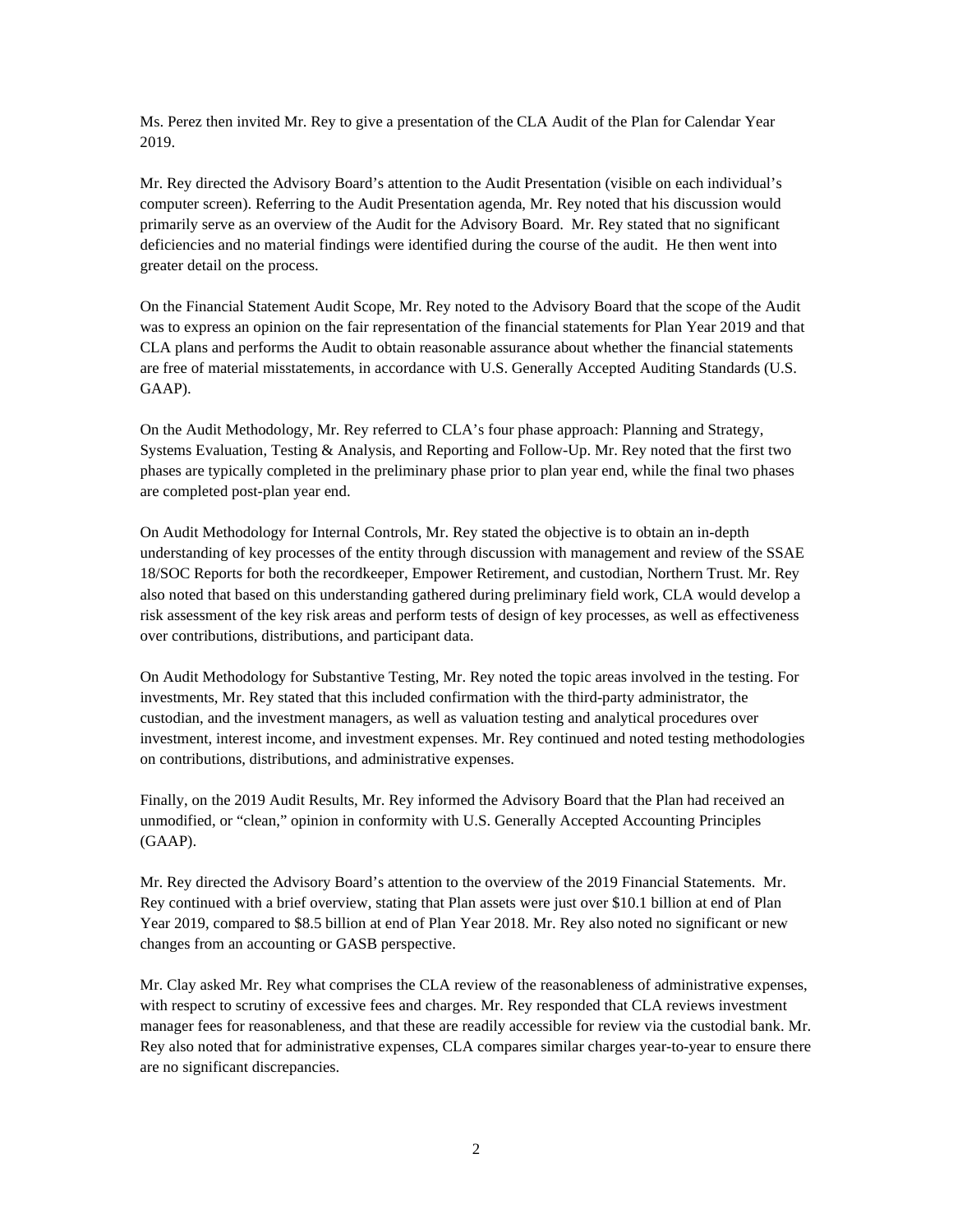Ms. Perez then invited Mr. Rey to give a presentation of the CLA Audit of the Plan for Calendar Year 2019.

Mr. Rey directed the Advisory Board's attention to the Audit Presentation (visible on each individual's computer screen). Referring to the Audit Presentation agenda, Mr. Rey noted that his discussion would primarily serve as an overview of the Audit for the Advisory Board. Mr. Rey stated that no significant deficiencies and no material findings were identified during the course of the audit. He then went into greater detail on the process.

On the Financial Statement Audit Scope, Mr. Rey noted to the Advisory Board that the scope of the Audit was to express an opinion on the fair representation of the financial statements for Plan Year 2019 and that CLA plans and performs the Audit to obtain reasonable assurance about whether the financial statements are free of material misstatements, in accordance with U.S. Generally Accepted Auditing Standards (U.S. GAAP).

On the Audit Methodology, Mr. Rey referred to CLA's four phase approach: Planning and Strategy, Systems Evaluation, Testing & Analysis, and Reporting and Follow-Up. Mr. Rey noted that the first two phases are typically completed in the preliminary phase prior to plan year end, while the final two phases are completed post-plan year end.

On Audit Methodology for Internal Controls, Mr. Rey stated the objective is to obtain an in-depth understanding of key processes of the entity through discussion with management and review of the SSAE 18/SOC Reports for both the recordkeeper, Empower Retirement, and custodian, Northern Trust. Mr. Rey also noted that based on this understanding gathered during preliminary field work, CLA would develop a risk assessment of the key risk areas and perform tests of design of key processes, as well as effectiveness over contributions, distributions, and participant data.

On Audit Methodology for Substantive Testing, Mr. Rey noted the topic areas involved in the testing. For investments, Mr. Rey stated that this included confirmation with the third-party administrator, the custodian, and the investment managers, as well as valuation testing and analytical procedures over investment, interest income, and investment expenses. Mr. Rey continued and noted testing methodologies on contributions, distributions, and administrative expenses.

Finally, on the 2019 Audit Results, Mr. Rey informed the Advisory Board that the Plan had received an unmodified, or "clean," opinion in conformity with U.S. Generally Accepted Accounting Principles (GAAP).

Mr. Rey directed the Advisory Board's attention to the overview of the 2019 Financial Statements. Mr. Rey continued with a brief overview, stating that Plan assets were just over \$10.1 billion at end of Plan Year 2019, compared to \$8.5 billion at end of Plan Year 2018. Mr. Rey also noted no significant or new changes from an accounting or GASB perspective.

Mr. Clay asked Mr. Rey what comprises the CLA review of the reasonableness of administrative expenses, with respect to scrutiny of excessive fees and charges. Mr. Rey responded that CLA reviews investment manager fees for reasonableness, and that these are readily accessible for review via the custodial bank. Mr. Rey also noted that for administrative expenses, CLA compares similar charges year-to-year to ensure there are no significant discrepancies.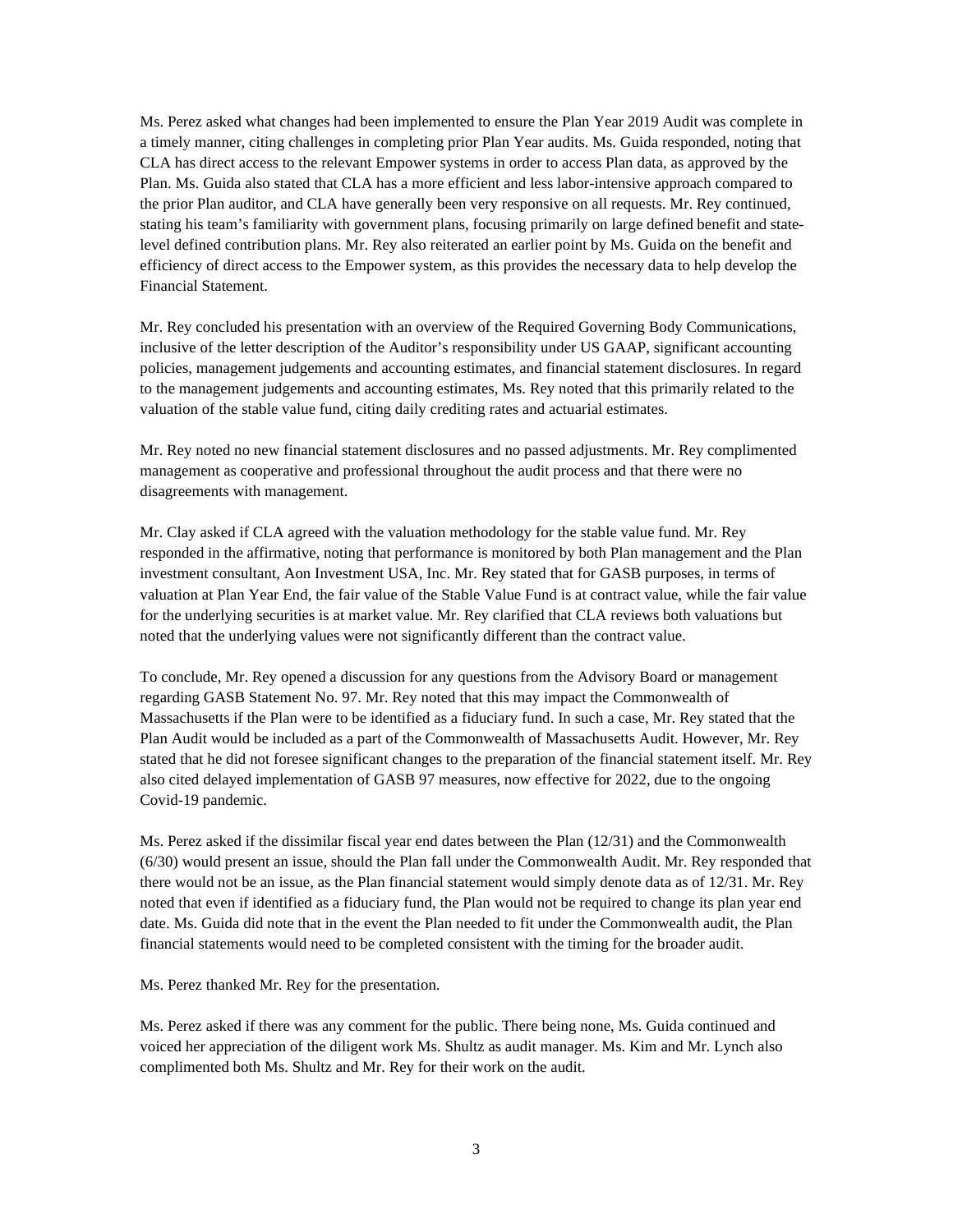Ms. Perez asked what changes had been implemented to ensure the Plan Year 2019 Audit was complete in a timely manner, citing challenges in completing prior Plan Year audits. Ms. Guida responded, noting that CLA has direct access to the relevant Empower systems in order to access Plan data, as approved by the Plan. Ms. Guida also stated that CLA has a more efficient and less labor-intensive approach compared to the prior Plan auditor, and CLA have generally been very responsive on all requests. Mr. Rey continued, stating his team's familiarity with government plans, focusing primarily on large defined benefit and statelevel defined contribution plans. Mr. Rey also reiterated an earlier point by Ms. Guida on the benefit and efficiency of direct access to the Empower system, as this provides the necessary data to help develop the Financial Statement.

Mr. Rey concluded his presentation with an overview of the Required Governing Body Communications, inclusive of the letter description of the Auditor's responsibility under US GAAP, significant accounting policies, management judgements and accounting estimates, and financial statement disclosures. In regard to the management judgements and accounting estimates, Ms. Rey noted that this primarily related to the valuation of the stable value fund, citing daily crediting rates and actuarial estimates.

Mr. Rey noted no new financial statement disclosures and no passed adjustments. Mr. Rey complimented management as cooperative and professional throughout the audit process and that there were no disagreements with management.

Mr. Clay asked if CLA agreed with the valuation methodology for the stable value fund. Mr. Rey responded in the affirmative, noting that performance is monitored by both Plan management and the Plan investment consultant, Aon Investment USA, Inc. Mr. Rey stated that for GASB purposes, in terms of valuation at Plan Year End, the fair value of the Stable Value Fund is at contract value, while the fair value for the underlying securities is at market value. Mr. Rey clarified that CLA reviews both valuations but noted that the underlying values were not significantly different than the contract value.

To conclude, Mr. Rey opened a discussion for any questions from the Advisory Board or management regarding GASB Statement No. 97. Mr. Rey noted that this may impact the Commonwealth of Massachusetts if the Plan were to be identified as a fiduciary fund. In such a case, Mr. Rey stated that the Plan Audit would be included as a part of the Commonwealth of Massachusetts Audit. However, Mr. Rey stated that he did not foresee significant changes to the preparation of the financial statement itself. Mr. Rey also cited delayed implementation of GASB 97 measures, now effective for 2022, due to the ongoing Covid-19 pandemic.

Ms. Perez asked if the dissimilar fiscal year end dates between the Plan (12/31) and the Commonwealth (6/30) would present an issue, should the Plan fall under the Commonwealth Audit. Mr. Rey responded that there would not be an issue, as the Plan financial statement would simply denote data as of 12/31. Mr. Rey noted that even if identified as a fiduciary fund, the Plan would not be required to change its plan year end date. Ms. Guida did note that in the event the Plan needed to fit under the Commonwealth audit, the Plan financial statements would need to be completed consistent with the timing for the broader audit.

Ms. Perez thanked Mr. Rey for the presentation.

Ms. Perez asked if there was any comment for the public. There being none, Ms. Guida continued and voiced her appreciation of the diligent work Ms. Shultz as audit manager. Ms. Kim and Mr. Lynch also complimented both Ms. Shultz and Mr. Rey for their work on the audit.